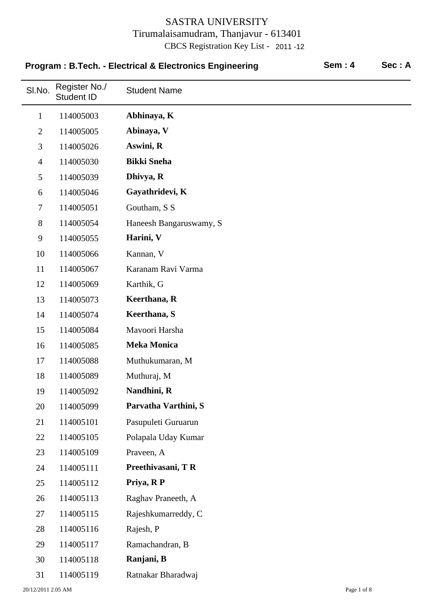| Program: B.Tech. - Electrical & Electronics Engineering |                                    |                         | <b>Sem: 4</b> | Sec: A |
|---------------------------------------------------------|------------------------------------|-------------------------|---------------|--------|
| SI.No.                                                  | Register No./<br><b>Student ID</b> | <b>Student Name</b>     |               |        |
| $\mathbf{1}$                                            | 114005003                          | Abhinaya, K             |               |        |
| $\overline{2}$                                          | 114005005                          | Abinaya, V              |               |        |
| 3                                                       | 114005026                          | Aswini, R               |               |        |
| $\overline{4}$                                          | 114005030                          | <b>Bikki Sneha</b>      |               |        |
| 5                                                       | 114005039                          | Dhivya, R               |               |        |
| 6                                                       | 114005046                          | Gayathridevi, K         |               |        |
| $\tau$                                                  | 114005051                          | Goutham, S S            |               |        |
| 8                                                       | 114005054                          | Haneesh Bangaruswamy, S |               |        |
| 9                                                       | 114005055                          | Harini, V               |               |        |
| 10                                                      | 114005066                          | Kannan, V               |               |        |
| 11                                                      | 114005067                          | Karanam Ravi Varma      |               |        |
| 12                                                      | 114005069                          | Karthik, G              |               |        |
| 13                                                      | 114005073                          | Keerthana, R            |               |        |
| 14                                                      | 114005074                          | Keerthana, S            |               |        |
| 15                                                      | 114005084                          | Mavoori Harsha          |               |        |
| 16                                                      | 114005085                          | <b>Meka Monica</b>      |               |        |
| 17                                                      | 114005088                          | Muthukumaran, M         |               |        |
| 18                                                      | 114005089                          | Muthuraj, M             |               |        |
| 19                                                      | 114005092                          | Nandhini, R             |               |        |
| 20                                                      | 114005099                          | Parvatha Varthini, S    |               |        |
| 21                                                      | 114005101                          | Pasupuleti Guruarun     |               |        |
| 22                                                      | 114005105                          | Polapala Uday Kumar     |               |        |
| 23                                                      | 114005109                          | Praveen, A              |               |        |
| 24                                                      | 114005111                          | Preethivasani, TR       |               |        |
| 25                                                      | 114005112                          | Priya, RP               |               |        |
| 26                                                      | 114005113                          | Raghav Praneeth, A      |               |        |
| 27                                                      | 114005115                          | Rajeshkumarreddy, C     |               |        |
| 28                                                      | 114005116                          | Rajesh, P               |               |        |
| 29                                                      | 114005117                          | Ramachandran, B         |               |        |
| 30                                                      | 114005118                          | Ranjani, B              |               |        |
| 31                                                      | 114005119                          | Ratnakar Bharadwaj      |               |        |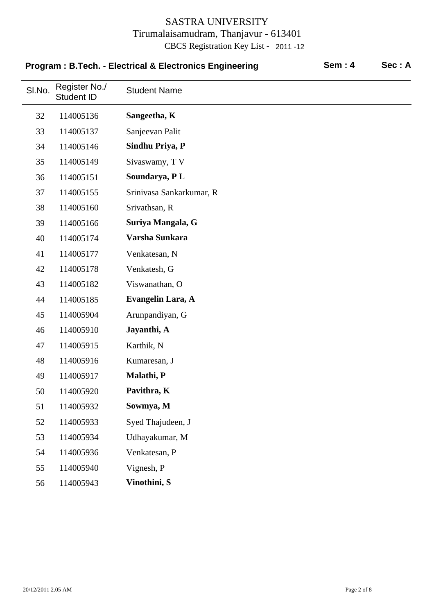|        | Program: B.Tech. - Electrical & Electronics Engineering |                          | <b>Sem: 4</b><br>Sec: A |  |
|--------|---------------------------------------------------------|--------------------------|-------------------------|--|
| SI.No. | Register No./<br><b>Student ID</b>                      | <b>Student Name</b>      |                         |  |
| 32     | 114005136                                               | Sangeetha, K             |                         |  |
| 33     | 114005137                                               | Sanjeevan Palit          |                         |  |
| 34     | 114005146                                               | Sindhu Priya, P          |                         |  |
| 35     | 114005149                                               | Sivaswamy, TV            |                         |  |
| 36     | 114005151                                               | Soundarya, PL            |                         |  |
| 37     | 114005155                                               | Srinivasa Sankarkumar, R |                         |  |
| 38     | 114005160                                               | Srivathsan, R            |                         |  |
| 39     | 114005166                                               | Suriya Mangala, G        |                         |  |
| 40     | 114005174                                               | Varsha Sunkara           |                         |  |
| 41     | 114005177                                               | Venkatesan, N            |                         |  |
| 42     | 114005178                                               | Venkatesh, G             |                         |  |
| 43     | 114005182                                               | Viswanathan, O           |                         |  |
| 44     | 114005185                                               | Evangelin Lara, A        |                         |  |
| 45     | 114005904                                               | Arunpandiyan, G          |                         |  |
| 46     | 114005910                                               | Jayanthi, A              |                         |  |
| 47     | 114005915                                               | Karthik, N               |                         |  |
| 48     | 114005916                                               | Kumaresan, J             |                         |  |
| 49     | 114005917                                               | Malathi, P               |                         |  |
| 50     | 114005920                                               | Pavithra, K              |                         |  |
| 51     | 114005932                                               | Sowmya, M                |                         |  |
| 52     | 114005933                                               | Syed Thajudeen, J        |                         |  |
| 53     | 114005934                                               | Udhayakumar, M           |                         |  |
| 54     | 114005936                                               | Venkatesan, P            |                         |  |
| 55     | 114005940                                               | Vignesh, P               |                         |  |
| 56     | 114005943                                               | Vinothini, S             |                         |  |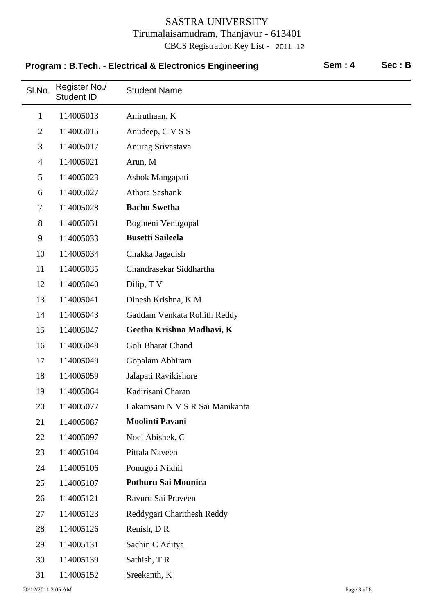| Program: B.Tech. - Electrical & Electronics Engineering |                                    |                                 | <b>Sem: 4</b> | Sec: B |
|---------------------------------------------------------|------------------------------------|---------------------------------|---------------|--------|
| SI.No.                                                  | Register No./<br><b>Student ID</b> | <b>Student Name</b>             |               |        |
| $\mathbf{1}$                                            | 114005013                          | Aniruthaan, K                   |               |        |
| $\overline{2}$                                          | 114005015                          | Anudeep, C V S S                |               |        |
| 3                                                       | 114005017                          | Anurag Srivastava               |               |        |
| $\overline{4}$                                          | 114005021                          | Arun, M                         |               |        |
| 5                                                       | 114005023                          | Ashok Mangapati                 |               |        |
| 6                                                       | 114005027                          | Athota Sashank                  |               |        |
| 7                                                       | 114005028                          | <b>Bachu Swetha</b>             |               |        |
| 8                                                       | 114005031                          | Bogineni Venugopal              |               |        |
| 9                                                       | 114005033                          | <b>Busetti Saileela</b>         |               |        |
| 10                                                      | 114005034                          | Chakka Jagadish                 |               |        |
| 11                                                      | 114005035                          | Chandrasekar Siddhartha         |               |        |
| 12                                                      | 114005040                          | Dilip, T V                      |               |        |
| 13                                                      | 114005041                          | Dinesh Krishna, K M             |               |        |
| 14                                                      | 114005043                          | Gaddam Venkata Rohith Reddy     |               |        |
| 15                                                      | 114005047                          | Geetha Krishna Madhavi, K       |               |        |
| 16                                                      | 114005048                          | Goli Bharat Chand               |               |        |
| 17                                                      | 114005049                          | Gopalam Abhiram                 |               |        |
| 18                                                      | 114005059                          | Jalapati Ravikishore            |               |        |
| 19                                                      | 114005064                          | Kadirisani Charan               |               |        |
| 20                                                      | 114005077                          | Lakamsani N V S R Sai Manikanta |               |        |
| 21                                                      | 114005087                          | <b>Moolinti Pavani</b>          |               |        |
| 22                                                      | 114005097                          | Noel Abishek, C                 |               |        |
| 23                                                      | 114005104                          | Pittala Naveen                  |               |        |
| 24                                                      | 114005106                          | Ponugoti Nikhil                 |               |        |
| 25                                                      | 114005107                          | Pothuru Sai Mounica             |               |        |
| 26                                                      | 114005121                          | Ravuru Sai Praveen              |               |        |
| 27                                                      | 114005123                          | Reddygari Charithesh Reddy      |               |        |
| 28                                                      | 114005126                          | Renish, DR                      |               |        |
| 29                                                      | 114005131                          | Sachin C Aditya                 |               |        |
| 30                                                      | 114005139                          | Sathish, TR                     |               |        |
| 31                                                      | 114005152                          | Sreekanth, K                    |               |        |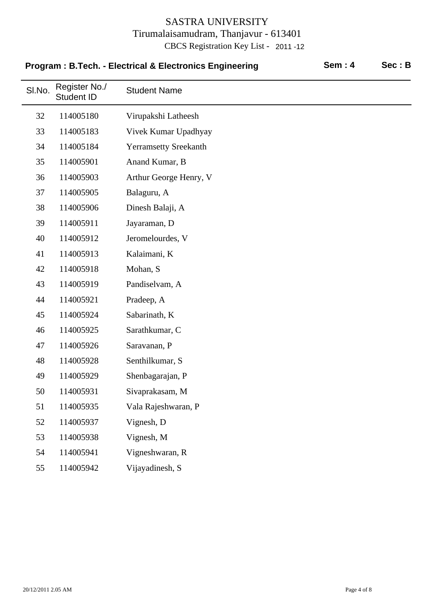| <b>Program: B.Tech. - Electrical &amp; Electronics Engineering</b> |                             |                              | <b>Sem: 4</b> | Sec: B |
|--------------------------------------------------------------------|-----------------------------|------------------------------|---------------|--------|
| SI.No.                                                             | Register No./<br>Student ID | <b>Student Name</b>          |               |        |
| 32                                                                 | 114005180                   | Virupakshi Latheesh          |               |        |
| 33                                                                 | 114005183                   | Vivek Kumar Upadhyay         |               |        |
| 34                                                                 | 114005184                   | <b>Yerramsetty Sreekanth</b> |               |        |
| 35                                                                 | 114005901                   | Anand Kumar, B               |               |        |
| 36                                                                 | 114005903                   | Arthur George Henry, V       |               |        |
| 37                                                                 | 114005905                   | Balaguru, A                  |               |        |
| 38                                                                 | 114005906                   | Dinesh Balaji, A             |               |        |
| 39                                                                 | 114005911                   | Jayaraman, D                 |               |        |
| 40                                                                 | 114005912                   | Jeromelourdes, V             |               |        |
| 41                                                                 | 114005913                   | Kalaimani, K                 |               |        |
| 42                                                                 | 114005918                   | Mohan, S                     |               |        |
| 43                                                                 | 114005919                   | Pandiselvam, A               |               |        |
| 44                                                                 | 114005921                   | Pradeep, A                   |               |        |
| 45                                                                 | 114005924                   | Sabarinath, K                |               |        |
| 46                                                                 | 114005925                   | Sarathkumar, C               |               |        |
| 47                                                                 | 114005926                   | Saravanan, P                 |               |        |
| 48                                                                 | 114005928                   | Senthilkumar, S              |               |        |
| 49                                                                 | 114005929                   | Shenbagarajan, P             |               |        |
| 50                                                                 | 114005931                   | Sivaprakasam, M              |               |        |
| 51                                                                 | 114005935                   | Vala Rajeshwaran, P          |               |        |
| 52                                                                 | 114005937                   | Vignesh, D                   |               |        |
| 53                                                                 | 114005938                   | Vignesh, M                   |               |        |
| 54                                                                 | 114005941                   | Vigneshwaran, R              |               |        |
| 55                                                                 | 114005942                   | Vijayadinesh, S              |               |        |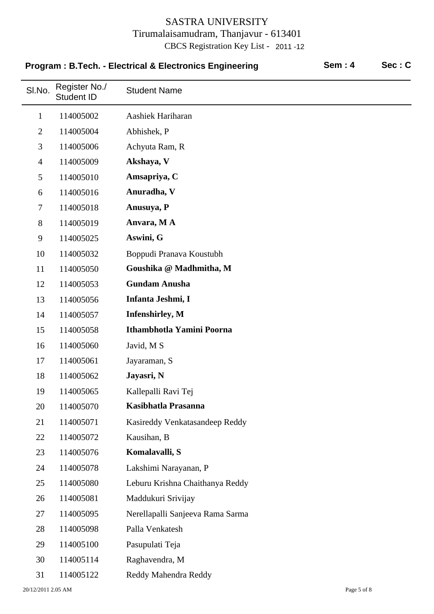| <b>Program: B.Tech. - Electrical &amp; Electronics Engineering</b> |                                    |                                  | <b>Sem: 4</b> | Sec: C |
|--------------------------------------------------------------------|------------------------------------|----------------------------------|---------------|--------|
| SI.No.                                                             | Register No./<br><b>Student ID</b> | <b>Student Name</b>              |               |        |
| 1                                                                  | 114005002                          | Aashiek Hariharan                |               |        |
| $\overline{2}$                                                     | 114005004                          | Abhishek, P                      |               |        |
| 3                                                                  | 114005006                          | Achyuta Ram, R                   |               |        |
| $\overline{4}$                                                     | 114005009                          | Akshaya, V                       |               |        |
| 5                                                                  | 114005010                          | Amsapriya, C                     |               |        |
| 6                                                                  | 114005016                          | Anuradha, V                      |               |        |
| $\tau$                                                             | 114005018                          | Anusuya, P                       |               |        |
| 8                                                                  | 114005019                          | Anvara, MA                       |               |        |
| 9                                                                  | 114005025                          | Aswini, G                        |               |        |
| 10                                                                 | 114005032                          | Boppudi Pranava Koustubh         |               |        |
| 11                                                                 | 114005050                          | Goushika @ Madhmitha, M          |               |        |
| 12                                                                 | 114005053                          | <b>Gundam Anusha</b>             |               |        |
| 13                                                                 | 114005056                          | Infanta Jeshmi, I                |               |        |
| 14                                                                 | 114005057                          | <b>Infenshirley</b> , M          |               |        |
| 15                                                                 | 114005058                          | Ithambhotla Yamini Poorna        |               |        |
| 16                                                                 | 114005060                          | Javid, M S                       |               |        |
| 17                                                                 | 114005061                          | Jayaraman, S                     |               |        |
| 18                                                                 | 114005062                          | Jayasri, N                       |               |        |
| 19                                                                 | 114005065                          | Kallepalli Ravi Tej              |               |        |
| 20                                                                 | 114005070                          | Kasibhatla Prasanna              |               |        |
| 21                                                                 | 114005071                          | Kasireddy Venkatasandeep Reddy   |               |        |
| 22                                                                 | 114005072                          | Kausihan, B                      |               |        |
| 23                                                                 | 114005076                          | Komalavalli, S                   |               |        |
| 24                                                                 | 114005078                          | Lakshimi Narayanan, P            |               |        |
| 25                                                                 | 114005080                          | Leburu Krishna Chaithanya Reddy  |               |        |
| 26                                                                 | 114005081                          | Maddukuri Srivijay               |               |        |
| 27                                                                 | 114005095                          | Nerellapalli Sanjeeva Rama Sarma |               |        |
| 28                                                                 | 114005098                          | Palla Venkatesh                  |               |        |
| 29                                                                 | 114005100                          | Pasupulati Teja                  |               |        |
| 30                                                                 | 114005114                          | Raghavendra, M                   |               |        |
| 31                                                                 | 114005122                          | Reddy Mahendra Reddy             |               |        |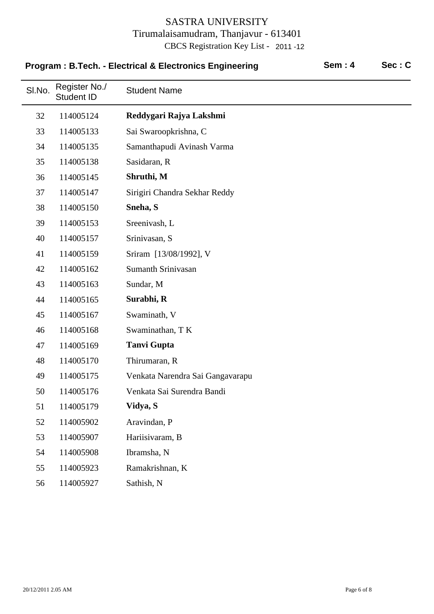| Program: B.Tech. - Electrical & Electronics Engineering |                                    |                                  | <b>Sem: 4</b> | Sec: C |
|---------------------------------------------------------|------------------------------------|----------------------------------|---------------|--------|
| SI.No.                                                  | Register No./<br><b>Student ID</b> | <b>Student Name</b>              |               |        |
| 32                                                      | 114005124                          | Reddygari Rajya Lakshmi          |               |        |
| 33                                                      | 114005133                          | Sai Swaroopkrishna, C            |               |        |
| 34                                                      | 114005135                          | Samanthapudi Avinash Varma       |               |        |
| 35                                                      | 114005138                          | Sasidaran, R                     |               |        |
| 36                                                      | 114005145                          | Shruthi, M                       |               |        |
| 37                                                      | 114005147                          | Sirigiri Chandra Sekhar Reddy    |               |        |
| 38                                                      | 114005150                          | Sneha, S                         |               |        |
| 39                                                      | 114005153                          | Sreenivash, L                    |               |        |
| 40                                                      | 114005157                          | Srinivasan, S                    |               |        |
| 41                                                      | 114005159                          | Sriram [13/08/1992], V           |               |        |
| 42                                                      | 114005162                          | <b>Sumanth Srinivasan</b>        |               |        |
| 43                                                      | 114005163                          | Sundar, M                        |               |        |
| 44                                                      | 114005165                          | Surabhi, R                       |               |        |
| 45                                                      | 114005167                          | Swaminath, V                     |               |        |
| 46                                                      | 114005168                          | Swaminathan, TK                  |               |        |
| 47                                                      | 114005169                          | <b>Tanvi Gupta</b>               |               |        |
| 48                                                      | 114005170                          | Thirumaran, R                    |               |        |
| 49                                                      | 114005175                          | Venkata Narendra Sai Gangavarapu |               |        |
| 50                                                      | 114005176                          | Venkata Sai Surendra Bandi       |               |        |
| 51                                                      | 114005179                          | Vidya, S                         |               |        |
| 52                                                      | 114005902                          | Aravindan, P                     |               |        |
| 53                                                      | 114005907                          | Hariisivaram, B                  |               |        |
| 54                                                      | 114005908                          | Ibramsha, N                      |               |        |
| 55                                                      | 114005923                          | Ramakrishnan, K                  |               |        |
| 56                                                      | 114005927                          | Sathish, N                       |               |        |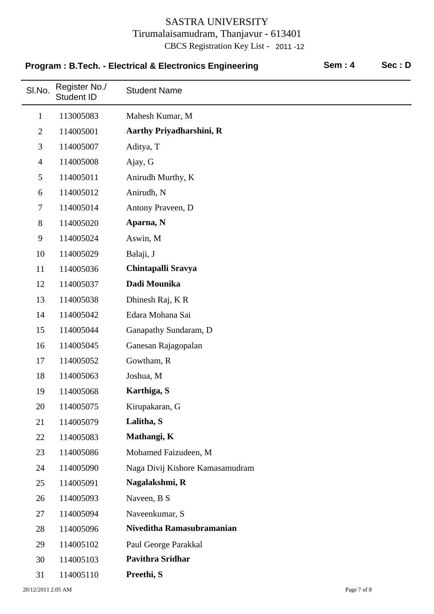| Program: B.Tech. - Electrical & Electronics Engineering |                                    |                                 | <b>Sem: 4</b> | Sec: D |
|---------------------------------------------------------|------------------------------------|---------------------------------|---------------|--------|
| SI.No.                                                  | Register No./<br><b>Student ID</b> | <b>Student Name</b>             |               |        |
| $\mathbf{1}$                                            | 113005083                          | Mahesh Kumar, M                 |               |        |
| $\overline{2}$                                          | 114005001                          | <b>Aarthy Priyadharshini, R</b> |               |        |
| 3                                                       | 114005007                          | Aditya, T                       |               |        |
| $\overline{4}$                                          | 114005008                          | Ajay, G                         |               |        |
| 5                                                       | 114005011                          | Anirudh Murthy, K               |               |        |
| 6                                                       | 114005012                          | Anirudh, N                      |               |        |
| $\tau$                                                  | 114005014                          | Antony Praveen, D               |               |        |
| 8                                                       | 114005020                          | Aparna, N                       |               |        |
| 9                                                       | 114005024                          | Aswin, M                        |               |        |
| 10                                                      | 114005029                          | Balaji, J                       |               |        |
| 11                                                      | 114005036                          | Chintapalli Sravya              |               |        |
| 12                                                      | 114005037                          | Dadi Mounika                    |               |        |
| 13                                                      | 114005038                          | Dhinesh Raj, KR                 |               |        |
| 14                                                      | 114005042                          | Edara Mohana Sai                |               |        |
| 15                                                      | 114005044                          | Ganapathy Sundaram, D           |               |        |
| 16                                                      | 114005045                          | Ganesan Rajagopalan             |               |        |
| 17                                                      | 114005052                          | Gowtham, R                      |               |        |
| 18                                                      | 114005063                          | Joshua, M                       |               |        |
| 19                                                      | 114005068                          | Karthiga, S                     |               |        |
| 20                                                      | 114005075                          | Kirupakaran, G                  |               |        |
| 21                                                      | 114005079                          | Lalitha, S                      |               |        |
| 22                                                      | 114005083                          | Mathangi, K                     |               |        |
| 23                                                      | 114005086                          | Mohamed Faizudeen, M            |               |        |
| 24                                                      | 114005090                          | Naga Divij Kishore Kamasamudram |               |        |
| 25                                                      | 114005091                          | Nagalakshmi, R                  |               |        |
| 26                                                      | 114005093                          | Naveen, B S                     |               |        |
| 27                                                      | 114005094                          | Naveenkumar, S                  |               |        |
| 28                                                      | 114005096                          | Niveditha Ramasubramanian       |               |        |
| 29                                                      | 114005102                          | Paul George Parakkal            |               |        |
| 30                                                      | 114005103                          | <b>Pavithra Sridhar</b>         |               |        |
| 31                                                      | 114005110                          | Preethi, S                      |               |        |